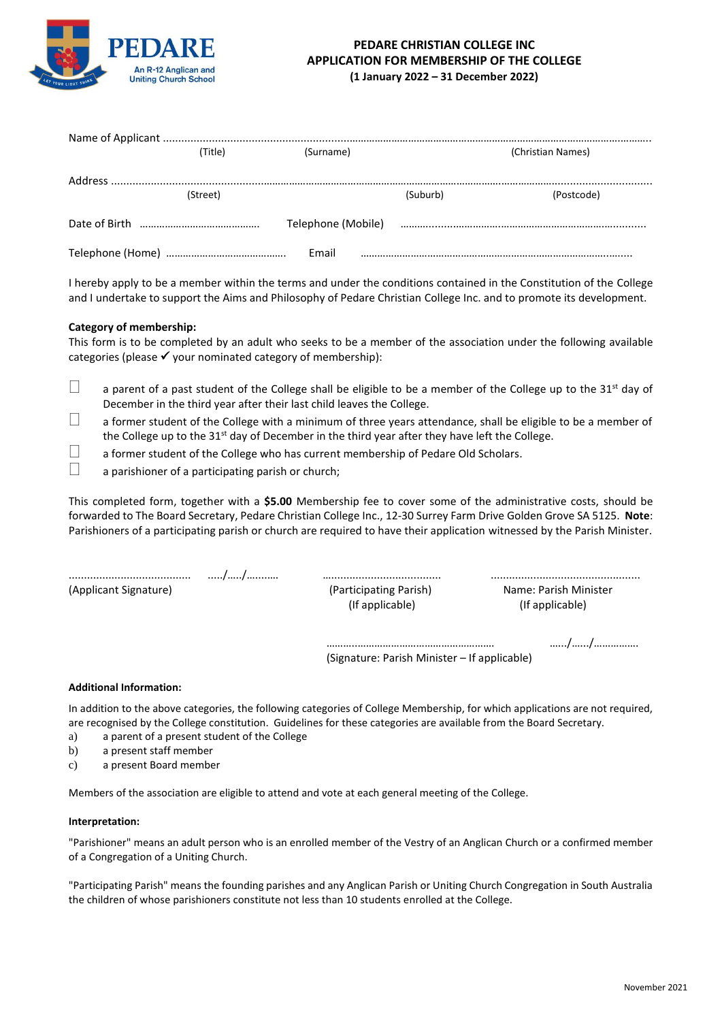

## **PEDARE CHRISTIAN COLLEGE INC APPLICATION FOR MEMBERSHIP OF THE COLLEGE (1 January 2022 – 31 December 2022)**

|  | (Title)  | (Surname) |          | (Christian Names)                                                                                              |
|--|----------|-----------|----------|----------------------------------------------------------------------------------------------------------------|
|  |          |           |          |                                                                                                                |
|  | (Street) |           | (Suburb) | (Postcode)                                                                                                     |
|  |          |           |          | Telephone (Mobile) advisorational control of the control of the control of the control of the control of the c |
|  |          | Email     |          |                                                                                                                |

I hereby apply to be a member within the terms and under the conditions contained in the Constitution of the College and I undertake to support the Aims and Philosophy of Pedare Christian College Inc. and to promote its development.

## **Category of membership:**

This form is to be completed by an adult who seeks to be a member of the association under the following available categories (please  $\checkmark$  your nominated category of membership):

- $\Box$  a parent of a past student of the College shall be eligible to be a member of the College up to the 31<sup>st</sup> day of December in the third year after their last child leaves the College.
- $\Box$  a former student of the College with a minimum of three years attendance, shall be eligible to be a member of the College up to the  $31<sup>st</sup>$  day of December in the third year after they have left the College.
- $\Box$  a former student of the College who has current membership of Pedare Old Scholars.<br>a parishioner of a participating parish or church:
- a parishioner of a participating parish or church;

This completed form, together with a **\$5.00** Membership fee to cover some of the administrative costs, should be forwarded to The Board Secretary, Pedare Christian College Inc., 12-30 Surrey Farm Drive Golden Grove SA 5125. **Note**: Parishioners of a participating parish or church are required to have their application witnessed by the Parish Minister.

........................................ ...../…../…....…. ….................................... ................................................. (Applicant Signature) (Participating Parish) Name: Parish Minister

(If applicable) (If applicable)

………..…………………………………………. ….../….../……………. (Signature: Parish Minister – If applicable)

**Additional Information:**

In addition to the above categories, the following categories of College Membership, for which applications are not required, are recognised by the College constitution. Guidelines for these categories are available from the Board Secretary.

- a) a parent of a present student of the College
- b) a present staff member
- c) a present Board member

Members of the association are eligible to attend and vote at each general meeting of the College.

## **Interpretation:**

"Parishioner" means an adult person who is an enrolled member of the Vestry of an Anglican Church or a confirmed member of a Congregation of a Uniting Church.

"Participating Parish" means the founding parishes and any Anglican Parish or Uniting Church Congregation in South Australia the children of whose parishioners constitute not less than 10 students enrolled at the College.